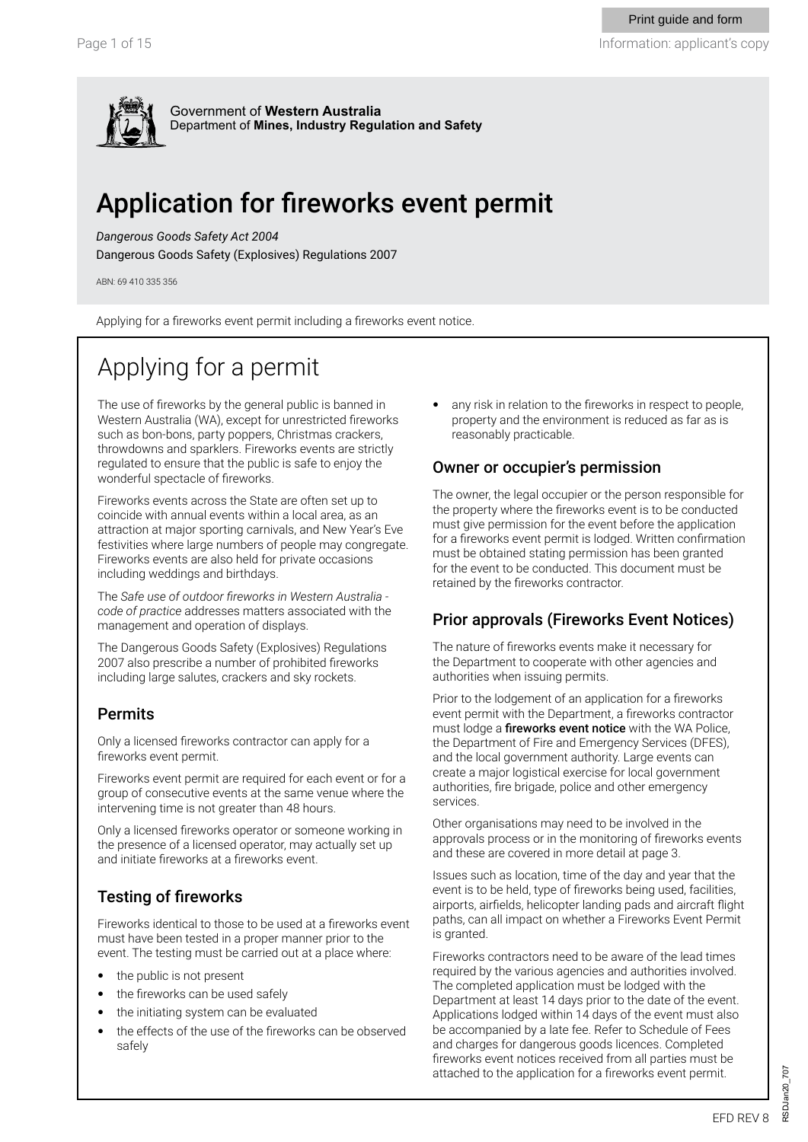Print guide and form

Information: applicant's copy



# Application for fireworks event permit

#### *Dangerous Goods Safety Act 2004*

Dangerous Goods Safety (Explosives) Regulations 2007

ABN: 69 410 335 356

Applying for a fireworks event permit including a fireworks event notice.

# Applying for a permit

The use of fireworks by the general public is banned in Western Australia (WA), except for unrestricted fireworks such as bon-bons, party poppers, Christmas crackers, throwdowns and sparklers. Fireworks events are strictly regulated to ensure that the public is safe to enjoy the wonderful spectacle of fireworks.

Fireworks events across the State are often set up to coincide with annual events within a local area, as an attraction at major sporting carnivals, and New Year's Eve festivities where large numbers of people may congregate. Fireworks events are also held for private occasions including weddings and birthdays.

The *Safe use of outdoor fireworks in Western Australia code of practice* addresses matters associated with the management and operation of displays.

The Dangerous Goods Safety (Explosives) Regulations 2007 also prescribe a number of prohibited fireworks including large salutes, crackers and sky rockets.

### **Permits**

Only a licensed fireworks contractor can apply for a fireworks event permit.

Fireworks event permit are required for each event or for a group of consecutive events at the same venue where the intervening time is not greater than 48 hours.

Only a licensed fireworks operator or someone working in the presence of a licensed operator, may actually set up and initiate fireworks at a fireworks event.

### Testing of fireworks

Fireworks identical to those to be used at a fireworks event must have been tested in a proper manner prior to the event. The testing must be carried out at a place where:

- the public is not present
- the fireworks can be used safely
- the initiating system can be evaluated
- the effects of the use of the fireworks can be observed safely

any risk in relation to the fireworks in respect to people, property and the environment is reduced as far as is reasonably practicable.

#### Owner or occupier's permission

The owner, the legal occupier or the person responsible for the property where the fireworks event is to be conducted must give permission for the event before the application for a fireworks event permit is lodged. Written confirmation must be obtained stating permission has been granted for the event to be conducted. This document must be retained by the fireworks contractor.

### Prior approvals (Fireworks Event Notices)

The nature of fireworks events make it necessary for the Department to cooperate with other agencies and authorities when issuing permits.

Prior to the lodgement of an application for a fireworks event permit with the Department, a fireworks contractor must lodge a fireworks event notice with the WA Police, the Department of Fire and Emergency Services (DFES), and the local government authority. Large events can create a major logistical exercise for local government authorities, fire brigade, police and other emergency services.

Other organisations may need to be involved in the approvals process or in the monitoring of fireworks events and these are covered in more detail at page 3.

Issues such as location, time of the day and year that the event is to be held, type of fireworks being used, facilities, airports, airfields, helicopter landing pads and aircraft flight paths, can all impact on whether a Fireworks Event Permit is granted.

Fireworks contractors need to be aware of the lead times required by the various agencies and authorities involved. The completed application must be lodged with the Department at least 14 days prior to the date of the event. Applications lodged within 14 days of the event must also be accompanied by a late fee. Refer to Schedule of Fees and charges for dangerous goods licences. Completed fireworks event notices received from all parties must be attached to the application for a fireworks event permit.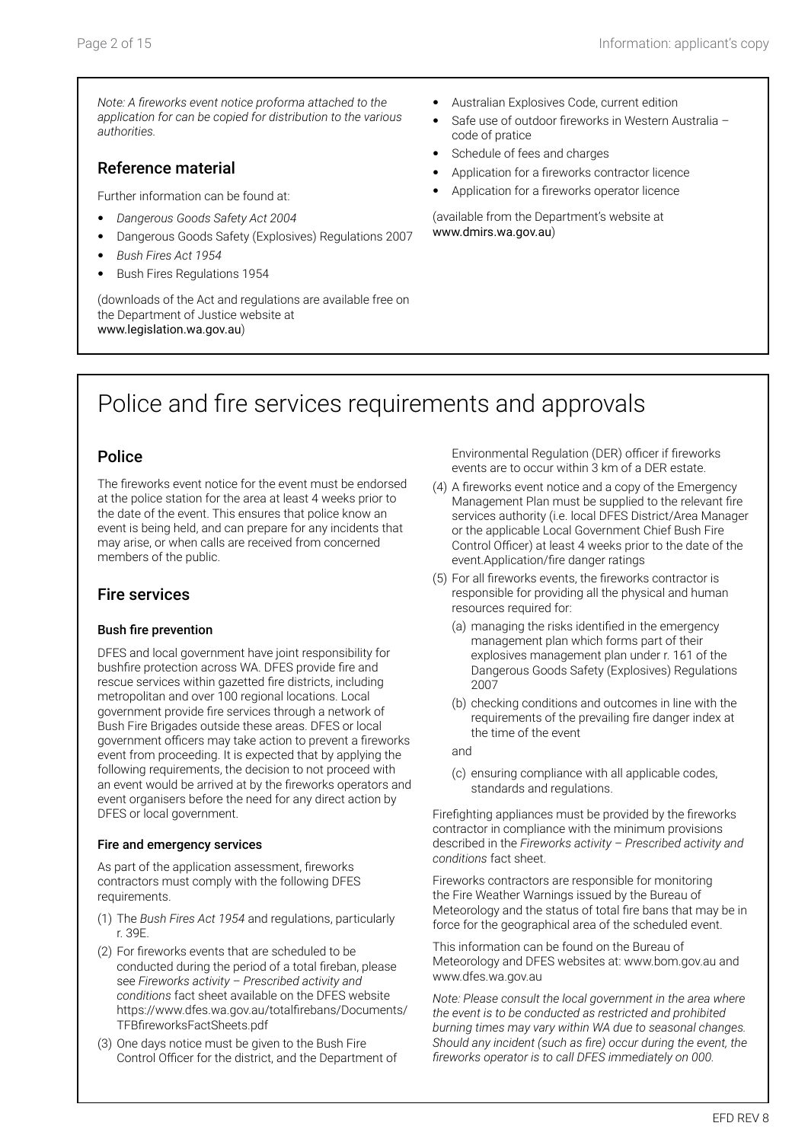*Note: A fireworks event notice proforma attached to the application for can be copied for distribution to the various authorities.*

### Reference material

Further information can be found at:

- *Dangerous Goods Safety Act 2004*
- Dangerous Goods Safety (Explosives) Regulations 2007
- *Bush Fires Act 1954*
- Bush Fires Regulations 1954

(downloads of the Act and regulations are available free on the Department of Justice website at www.legislation.wa.gov.au)

- Australian Explosives Code, current edition
- Safe use of outdoor fireworks in Western Australia code of pratice
- Schedule of fees and charges
- Application for a fireworks contractor licence
- Application for a fireworks operator licence

(available from the Department's website at www.dmirs.wa.gov.au)

# Police and fire services requirements and approvals

### Police

The fireworks event notice for the event must be endorsed at the police station for the area at least 4 weeks prior to the date of the event. This ensures that police know an event is being held, and can prepare for any incidents that may arise, or when calls are received from concerned members of the public.

### Fire services

#### Bush fire prevention

DFES and local government have joint responsibility for bushfire protection across WA. DFES provide fire and rescue services within gazetted fire districts, including metropolitan and over 100 regional locations. Local government provide fire services through a network of Bush Fire Brigades outside these areas. DFES or local government officers may take action to prevent a fireworks event from proceeding. It is expected that by applying the following requirements, the decision to not proceed with an event would be arrived at by the fireworks operators and event organisers before the need for any direct action by DFES or local government.

#### Fire and emergency services

As part of the application assessment, fireworks contractors must comply with the following DFES requirements.

- (1) The *Bush Fires Act 1954* and regulations, particularly r. 39E.
- (2) For fireworks events that are scheduled to be conducted during the period of a total fireban, please see *Fireworks activity – Prescribed activity and conditions* fact sheet available on the DFES website https://www.dfes.wa.gov.au/totalfirebans/Documents/ TFBfireworksFactSheets.pdf
- (3) One days notice must be given to the Bush Fire Control Officer for the district, and the Department of

Environmental Regulation (DER) officer if fireworks events are to occur within 3 km of a DER estate.

- (4) A fireworks event notice and a copy of the Emergency Management Plan must be supplied to the relevant fire services authority (i.e. local DFES District/Area Manager or the applicable Local Government Chief Bush Fire Control Officer) at least 4 weeks prior to the date of the event.Application/fire danger ratings
- (5) For all fireworks events, the fireworks contractor is responsible for providing all the physical and human resources required for:
	- (a) managing the risks identified in the emergency management plan which forms part of their explosives management plan under r. 161 of the Dangerous Goods Safety (Explosives) Regulations 2007
	- (b) checking conditions and outcomes in line with the requirements of the prevailing fire danger index at the time of the event

and

(c) ensuring compliance with all applicable codes, standards and regulations.

Firefighting appliances must be provided by the fireworks contractor in compliance with the minimum provisions described in the *Fireworks activity – Prescribed activity and conditions* fact sheet.

Fireworks contractors are responsible for monitoring the Fire Weather Warnings issued by the Bureau of Meteorology and the status of total fire bans that may be in force for the geographical area of the scheduled event.

This information can be found on the Bureau of Meteorology and DFES websites at: www.bom.gov.au and www.dfes.wa.gov.au

*Note: Please consult the local government in the area where the event is to be conducted as restricted and prohibited burning times may vary within WA due to seasonal changes. Should any incident (such as fire) occur during the event, the fireworks operator is to call DFES immediately on 000.*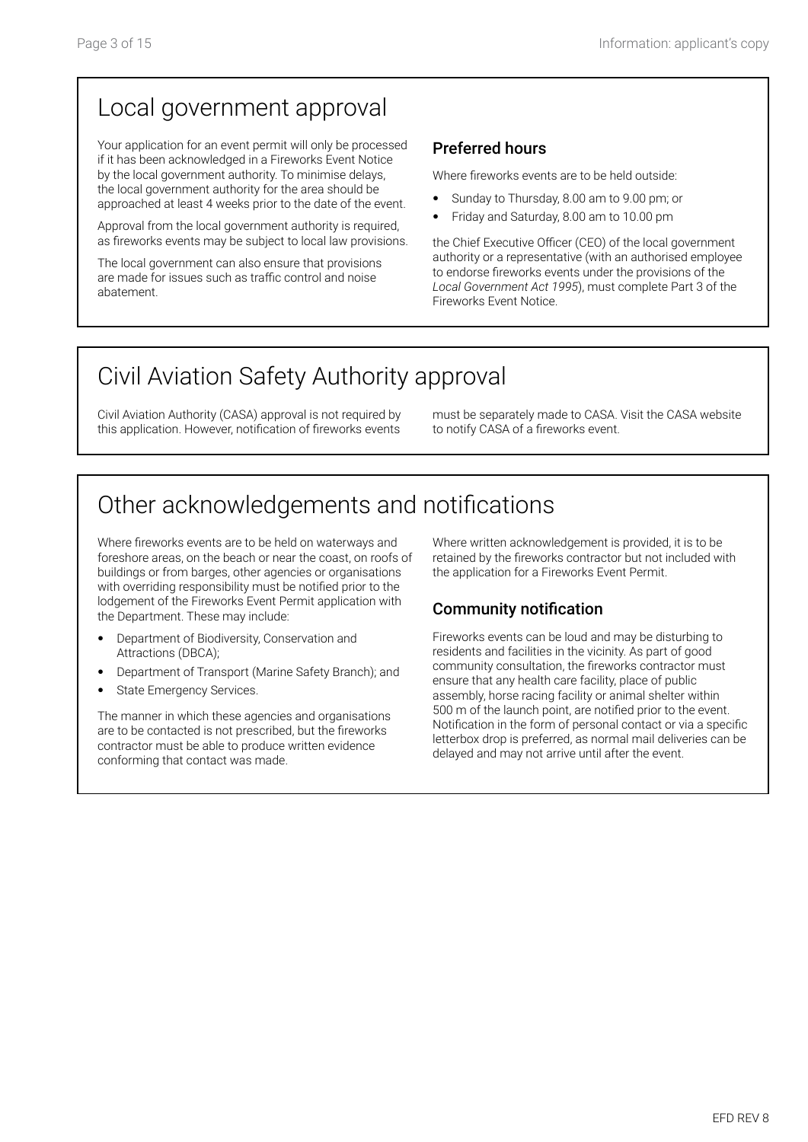# Local government approval

Your application for an event permit will only be processed if it has been acknowledged in a Fireworks Event Notice by the local government authority. To minimise delays, the local government authority for the area should be approached at least 4 weeks prior to the date of the event.

Approval from the local government authority is required, as fireworks events may be subject to local law provisions.

The local government can also ensure that provisions are made for issues such as traffic control and noise abatement.

### Preferred hours

Where fireworks events are to be held outside:

- Sunday to Thursday, 8.00 am to 9.00 pm; or
- Friday and Saturday, 8.00 am to 10.00 pm

the Chief Executive Officer (CEO) of the local government authority or a representative (with an authorised employee to endorse fireworks events under the provisions of the *Local Government Act 1995*), must complete Part 3 of the Fireworks Event Notice.

# Civil Aviation Safety Authority approval

Civil Aviation Authority (CASA) approval is not required by this application. However, notification of fireworks events must be separately made to CASA. Visit the CASA website to notify CASA of a fireworks event.

# Other acknowledgements and notifications

Where fireworks events are to be held on waterways and foreshore areas, on the beach or near the coast, on roofs of buildings or from barges, other agencies or organisations with overriding responsibility must be notified prior to the lodgement of the Fireworks Event Permit application with the Department. These may include:

- Department of Biodiversity, Conservation and Attractions (DBCA);
- Department of Transport (Marine Safety Branch); and
- State Emergency Services.

The manner in which these agencies and organisations are to be contacted is not prescribed, but the fireworks contractor must be able to produce written evidence conforming that contact was made.

Where written acknowledgement is provided, it is to be retained by the fireworks contractor but not included with the application for a Fireworks Event Permit.

### Community notification

Fireworks events can be loud and may be disturbing to residents and facilities in the vicinity. As part of good community consultation, the fireworks contractor must ensure that any health care facility, place of public assembly, horse racing facility or animal shelter within 500 m of the launch point, are notified prior to the event. Notification in the form of personal contact or via a specific letterbox drop is preferred, as normal mail deliveries can be delayed and may not arrive until after the event.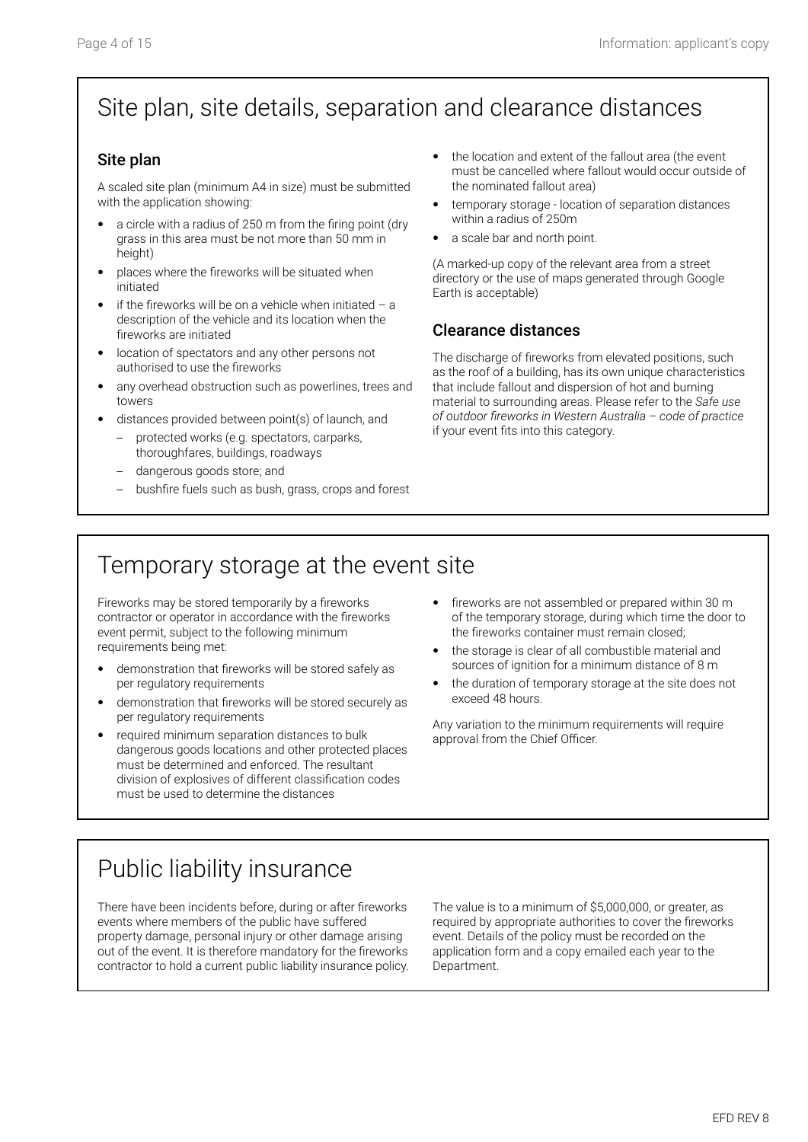# Site plan, site details, separation and clearance distances

### Site plan

A scaled site plan (minimum A4 in size) must be submitted with the application showing:

- a circle with a radius of 250 m from the firing point (dry grass in this area must be not more than 50 mm in height)
- places where the fireworks will be situated when initiated
- if the fireworks will be on a vehicle when initiated  $-$  a description of the vehicle and its location when the fireworks are initiated
- location of spectators and any other persons not authorised to use the fireworks
- any overhead obstruction such as powerlines, trees and towers
- distances provided between point(s) of launch, and
	- protected works (e.g. spectators, carparks, thoroughfares, buildings, roadways
	- dangerous goods store; and
	- bushfire fuels such as bush, grass, crops and forest
- the location and extent of the fallout area (the event must be cancelled where fallout would occur outside of the nominated fallout area)
- temporary storage location of separation distances within a radius of 250m
- a scale bar and north point.

(A marked-up copy of the relevant area from a street directory or the use of maps generated through Google Earth is acceptable)

### Clearance distances

The discharge of fireworks from elevated positions, such as the roof of a building, has its own unique characteristics that include fallout and dispersion of hot and burning material to surrounding areas. Please refer to the *Safe use of outdoor fireworks in Western Australia – code of practice* if your event fits into this category.

# Temporary storage at the event site

Fireworks may be stored temporarily by a fireworks contractor or operator in accordance with the fireworks event permit, subject to the following minimum requirements being met:

- demonstration that fireworks will be stored safely as per regulatory requirements
- demonstration that fireworks will be stored securely as per regulatory requirements
- required minimum separation distances to bulk dangerous goods locations and other protected places must be determined and enforced. The resultant division of explosives of different classification codes must be used to determine the distances
- fireworks are not assembled or prepared within 30 m of the temporary storage, during which time the door to the fireworks container must remain closed;
- the storage is clear of all combustible material and sources of ignition for a minimum distance of 8 m
- the duration of temporary storage at the site does not exceed 48 hours.

Any variation to the minimum requirements will require approval from the Chief Officer.

# Public liability insurance

There have been incidents before, during or after fireworks events where members of the public have suffered property damage, personal injury or other damage arising out of the event. It is therefore mandatory for the fireworks contractor to hold a current public liability insurance policy.

The value is to a minimum of \$5,000,000, or greater, as required by appropriate authorities to cover the fireworks event. Details of the policy must be recorded on the application form and a copy emailed each year to the Department.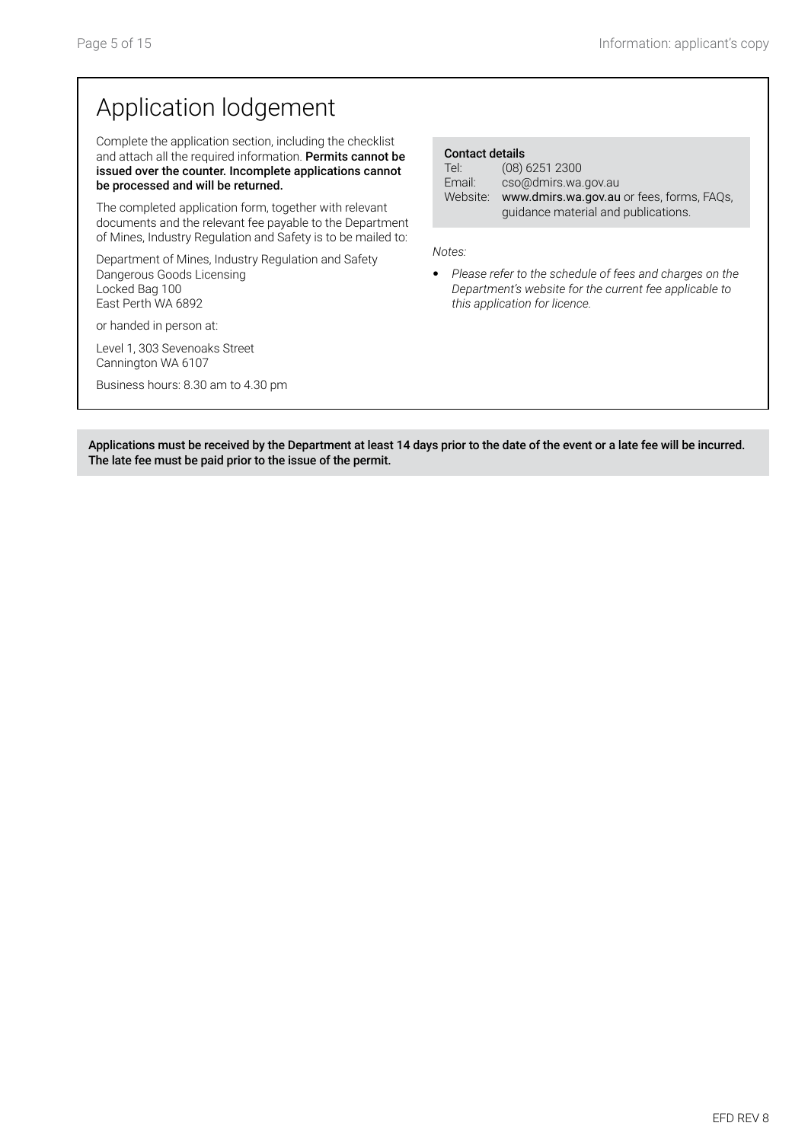# Application lodgement

Complete the application section, including the checklist and attach all the required information. Permits cannot be issued over the counter. Incomplete applications cannot be processed and will be returned.

The completed application form, together with relevant documents and the relevant fee payable to the Department of Mines, Industry Regulation and Safety is to be mailed to:

Department of Mines, Industry Regulation and Safety Dangerous Goods Licensing Locked Bag 100 East Perth WA 6892

or handed in person at:

Level 1, 303 Sevenoaks Street Cannington WA 6107

Business hours: 8.30 am to 4.30 pm

Tel: (08) 6251 2300 Email: cso@dmirs.wa.gov.au Website: www.dmirs.wa.gov.au or fees, forms, FAQs, guidance material and publications.

*Notes:*

• *Please refer to the schedule of fees and charges on the Department's website for the current fee applicable to this application for licence.*

Applications must be received by the Department at least 14 days prior to the date of the event or a late fee will be incurred. The late fee must be paid prior to the issue of the permit.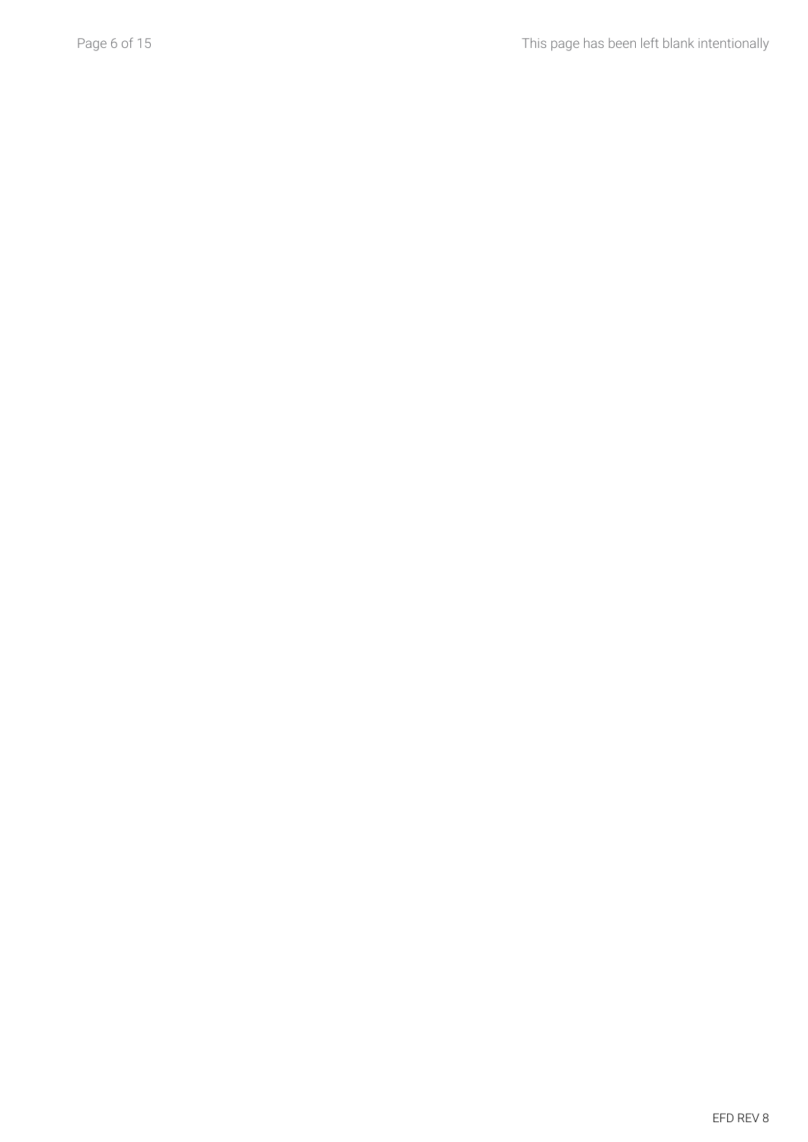Page 6 of 15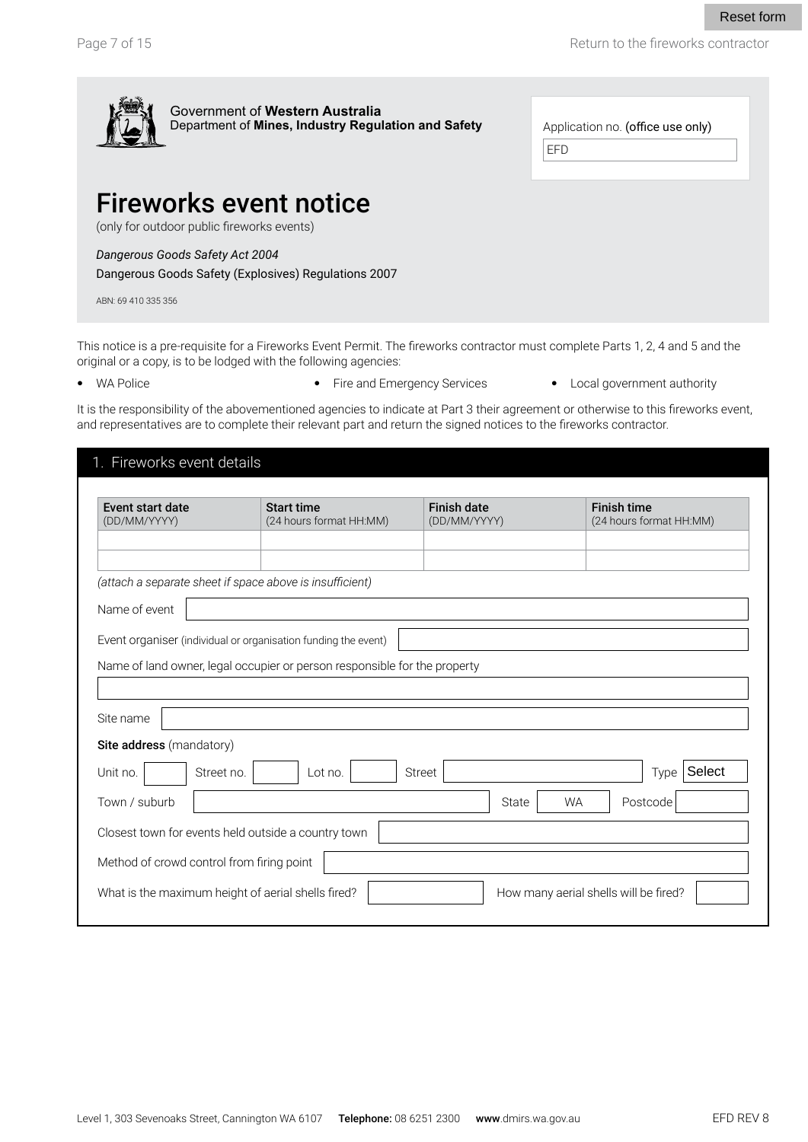Reset form

Return to the fireworks contractor

| KEN | Government of Western Australia<br>Department of Mines, Industry Regulation and Safety |
|-----|----------------------------------------------------------------------------------------|
|-----|----------------------------------------------------------------------------------------|

| Application no. (office use only) |  |
|-----------------------------------|--|
| I EFD                             |  |

# Fireworks event notice

(only for outdoor public fireworks events)

#### *Dangerous Goods Safety Act 2004*

Dangerous Goods Safety (Explosives) Regulations 2007

ABN: 69 410 335 356

This notice is a pre-requisite for a Fireworks Event Permit. The fireworks contractor must complete Parts 1, 2, 4 and 5 and the original or a copy, is to be lodged with the following agencies:

- 
- WA Police **Fire and Emergency Services** Local government authority WA Police
	-

It is the responsibility of the abovementioned agencies to indicate at Part 3 their agreement or otherwise to this fireworks event, and representatives are to complete their relevant part and return the signed notices to the fireworks contractor.

#### 1. Fireworks event details

| Event start date<br>(DD/MM/YYYY)                   | <b>Start time</b><br>(24 hours format HH:MM)                              | <b>Finish date</b><br>(DD/MM/YYYY) | <b>Finish time</b><br>(24 hours format HH:MM) |
|----------------------------------------------------|---------------------------------------------------------------------------|------------------------------------|-----------------------------------------------|
|                                                    |                                                                           |                                    |                                               |
|                                                    | (attach a separate sheet if space above is insufficient)                  |                                    |                                               |
| Name of event                                      |                                                                           |                                    |                                               |
|                                                    | Event organiser (individual or organisation funding the event)            |                                    |                                               |
|                                                    | Name of land owner, legal occupier or person responsible for the property |                                    |                                               |
|                                                    |                                                                           |                                    |                                               |
| Site name                                          |                                                                           |                                    |                                               |
| Site address (mandatory)                           |                                                                           |                                    |                                               |
| Street no.<br>Unit no.                             | Lot no.                                                                   | <b>Street</b>                      | Select<br>Type                                |
| Town / suburb                                      |                                                                           | State                              | <b>WA</b><br>Postcode                         |
|                                                    | Closest town for events held outside a country town                       |                                    |                                               |
| Method of crowd control from firing point          |                                                                           |                                    |                                               |
| What is the maximum height of aerial shells fired? |                                                                           |                                    | How many aerial shells will be fired?         |
|                                                    |                                                                           |                                    |                                               |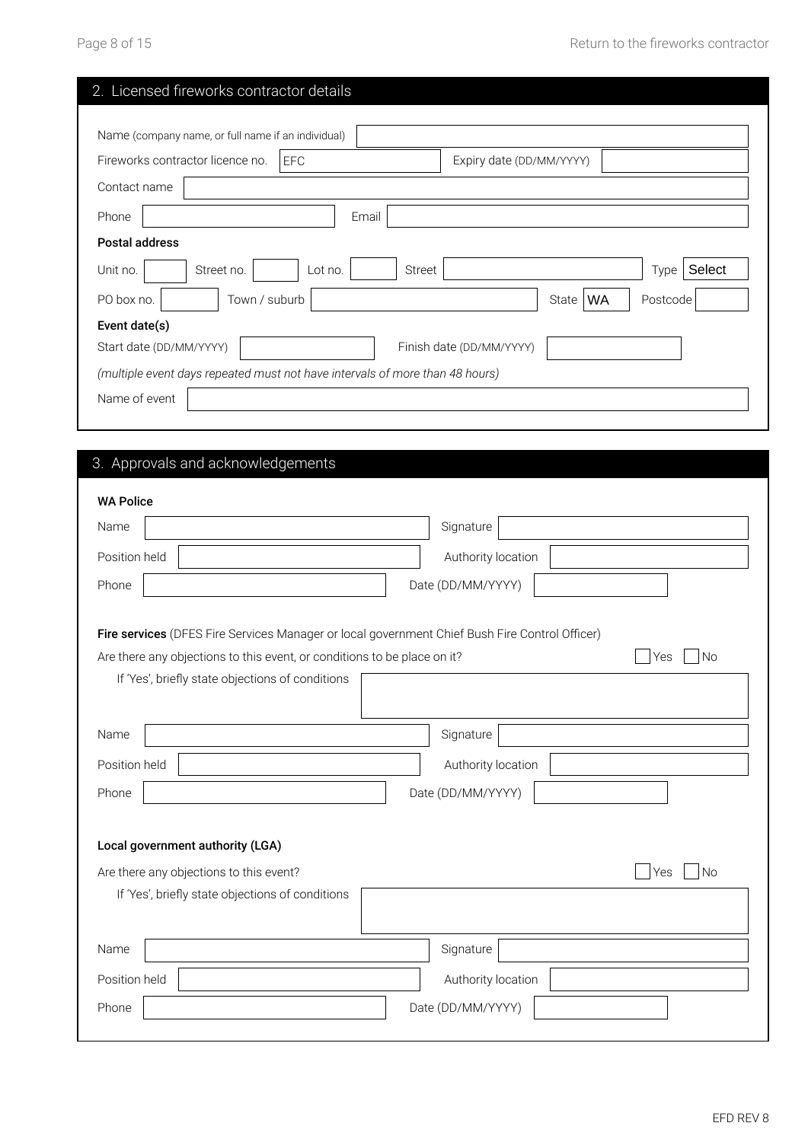## 2. Licensed fireworks contractor details

| Name (company name, or full name if an individual)                           |                                |
|------------------------------------------------------------------------------|--------------------------------|
| Fireworks contractor licence no.<br><b>EFC</b>                               | Expiry date (DD/MM/YYYY)       |
| Contact name                                                                 |                                |
| Email<br>Phone                                                               |                                |
| <b>Postal address</b>                                                        |                                |
| Unit no.<br>Street no.<br>Lot no.                                            | Select<br>Type<br>Street       |
| Town / suburb<br>PO box no.                                                  | <b>WA</b><br>Postcode<br>State |
| Event date(s)                                                                |                                |
| Start date (DD/MM/YYYY)                                                      | Finish date (DD/MM/YYYY)       |
| (multiple event days repeated must not have intervals of more than 48 hours) |                                |
| Name of event                                                                |                                |

| Name                                                                                                                                                                                                                           | Signature          |                            |
|--------------------------------------------------------------------------------------------------------------------------------------------------------------------------------------------------------------------------------|--------------------|----------------------------|
| Position held                                                                                                                                                                                                                  | Authority location |                            |
| Phone                                                                                                                                                                                                                          | Date (DD/MM/YYYY)  |                            |
| Fire services (DFES Fire Services Manager or local government Chief Bush Fire Control Officer)<br>Are there any objections to this event, or conditions to be place on it?<br>If 'Yes', briefly state objections of conditions |                    | No<br>Yes                  |
| Name                                                                                                                                                                                                                           | Signature          |                            |
| Position held                                                                                                                                                                                                                  | Authority location |                            |
| Phone                                                                                                                                                                                                                          | Date (DD/MM/YYYY)  |                            |
| Local government authority (LGA)<br>Are there any objections to this event?<br>If 'Yes', briefly state objections of conditions                                                                                                |                    | $\overline{\big N}$<br>Yes |
| Name                                                                                                                                                                                                                           | Signature          |                            |
| Position held                                                                                                                                                                                                                  | Authority location |                            |
|                                                                                                                                                                                                                                |                    |                            |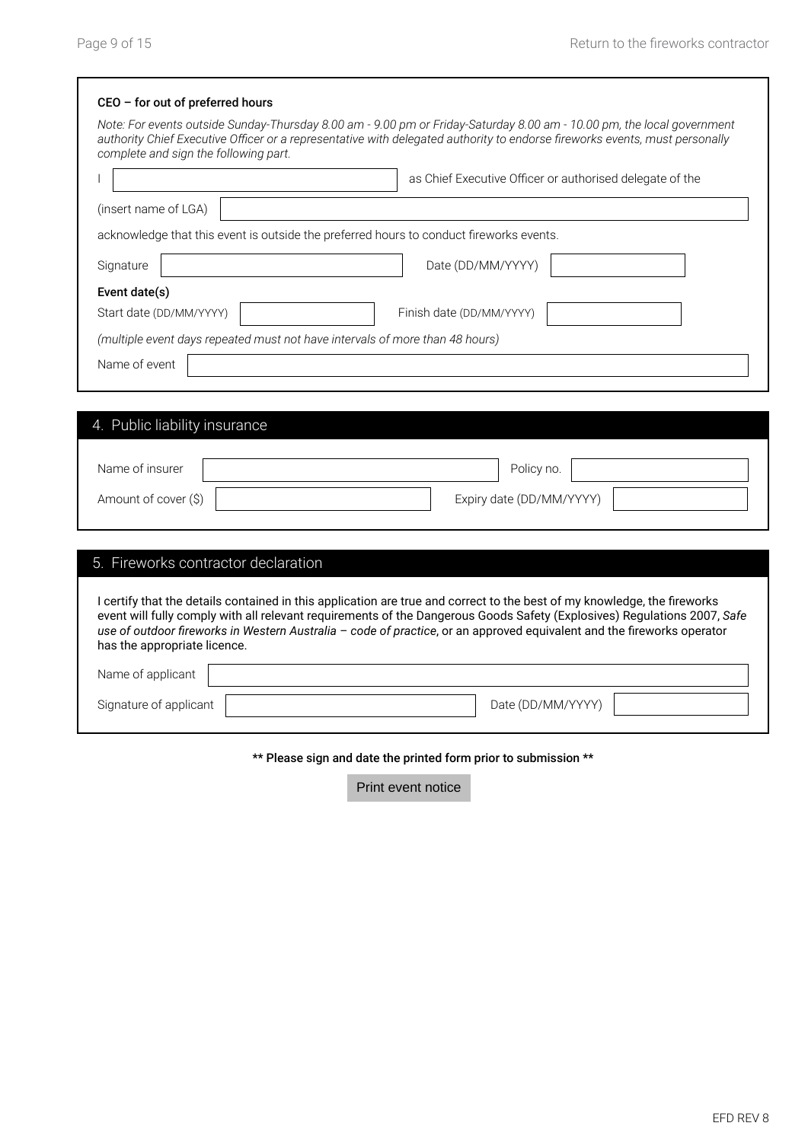| Note: For events outside Sunday-Thursday 8.00 am - 9.00 pm or Friday-Saturday 8.00 am - 10.00 pm, the local government<br>authority Chief Executive Officer or a representative with delegated authority to endorse fireworks events, must personally<br>complete and sign the following part.<br>as Chief Executive Officer or authorised delegate of the<br>(insert name of LGA)<br>acknowledge that this event is outside the preferred hours to conduct fireworks events.<br>Date (DD/MM/YYYY)<br>Signature<br>Event date(s)<br>Start date (DD/MM/YYYY)<br>Finish date (DD/MM/YYYY)<br>(multiple event days repeated must not have intervals of more than 48 hours)<br>Name of event<br>4. Public liability insurance<br>Name of insurer<br>Policy no.<br>Amount of cover (\$)<br>Expiry date (DD/MM/YYYY)<br>5. Fireworks contractor declaration<br>I certify that the details contained in this application are true and correct to the best of my knowledge, the fireworks<br>event will fully comply with all relevant requirements of the Dangerous Goods Safety (Explosives) Regulations 2007, Safe<br>use of outdoor fireworks in Western Australia - code of practice, or an approved equivalent and the fireworks operator<br>has the appropriate licence.<br>Name of applicant<br>Signature of applicant<br>Date (DD/MM/YYYY) | $CEO -$ for out of preferred hours |  |
|---------------------------------------------------------------------------------------------------------------------------------------------------------------------------------------------------------------------------------------------------------------------------------------------------------------------------------------------------------------------------------------------------------------------------------------------------------------------------------------------------------------------------------------------------------------------------------------------------------------------------------------------------------------------------------------------------------------------------------------------------------------------------------------------------------------------------------------------------------------------------------------------------------------------------------------------------------------------------------------------------------------------------------------------------------------------------------------------------------------------------------------------------------------------------------------------------------------------------------------------------------------------------------------------------------------------------------------------|------------------------------------|--|
|                                                                                                                                                                                                                                                                                                                                                                                                                                                                                                                                                                                                                                                                                                                                                                                                                                                                                                                                                                                                                                                                                                                                                                                                                                                                                                                                             |                                    |  |
|                                                                                                                                                                                                                                                                                                                                                                                                                                                                                                                                                                                                                                                                                                                                                                                                                                                                                                                                                                                                                                                                                                                                                                                                                                                                                                                                             |                                    |  |
|                                                                                                                                                                                                                                                                                                                                                                                                                                                                                                                                                                                                                                                                                                                                                                                                                                                                                                                                                                                                                                                                                                                                                                                                                                                                                                                                             |                                    |  |
|                                                                                                                                                                                                                                                                                                                                                                                                                                                                                                                                                                                                                                                                                                                                                                                                                                                                                                                                                                                                                                                                                                                                                                                                                                                                                                                                             |                                    |  |
|                                                                                                                                                                                                                                                                                                                                                                                                                                                                                                                                                                                                                                                                                                                                                                                                                                                                                                                                                                                                                                                                                                                                                                                                                                                                                                                                             |                                    |  |
|                                                                                                                                                                                                                                                                                                                                                                                                                                                                                                                                                                                                                                                                                                                                                                                                                                                                                                                                                                                                                                                                                                                                                                                                                                                                                                                                             |                                    |  |
|                                                                                                                                                                                                                                                                                                                                                                                                                                                                                                                                                                                                                                                                                                                                                                                                                                                                                                                                                                                                                                                                                                                                                                                                                                                                                                                                             |                                    |  |
|                                                                                                                                                                                                                                                                                                                                                                                                                                                                                                                                                                                                                                                                                                                                                                                                                                                                                                                                                                                                                                                                                                                                                                                                                                                                                                                                             |                                    |  |
|                                                                                                                                                                                                                                                                                                                                                                                                                                                                                                                                                                                                                                                                                                                                                                                                                                                                                                                                                                                                                                                                                                                                                                                                                                                                                                                                             |                                    |  |
|                                                                                                                                                                                                                                                                                                                                                                                                                                                                                                                                                                                                                                                                                                                                                                                                                                                                                                                                                                                                                                                                                                                                                                                                                                                                                                                                             |                                    |  |
|                                                                                                                                                                                                                                                                                                                                                                                                                                                                                                                                                                                                                                                                                                                                                                                                                                                                                                                                                                                                                                                                                                                                                                                                                                                                                                                                             |                                    |  |
|                                                                                                                                                                                                                                                                                                                                                                                                                                                                                                                                                                                                                                                                                                                                                                                                                                                                                                                                                                                                                                                                                                                                                                                                                                                                                                                                             |                                    |  |
|                                                                                                                                                                                                                                                                                                                                                                                                                                                                                                                                                                                                                                                                                                                                                                                                                                                                                                                                                                                                                                                                                                                                                                                                                                                                                                                                             |                                    |  |
|                                                                                                                                                                                                                                                                                                                                                                                                                                                                                                                                                                                                                                                                                                                                                                                                                                                                                                                                                                                                                                                                                                                                                                                                                                                                                                                                             |                                    |  |
|                                                                                                                                                                                                                                                                                                                                                                                                                                                                                                                                                                                                                                                                                                                                                                                                                                                                                                                                                                                                                                                                                                                                                                                                                                                                                                                                             |                                    |  |
|                                                                                                                                                                                                                                                                                                                                                                                                                                                                                                                                                                                                                                                                                                                                                                                                                                                                                                                                                                                                                                                                                                                                                                                                                                                                                                                                             |                                    |  |
|                                                                                                                                                                                                                                                                                                                                                                                                                                                                                                                                                                                                                                                                                                                                                                                                                                                                                                                                                                                                                                                                                                                                                                                                                                                                                                                                             |                                    |  |
|                                                                                                                                                                                                                                                                                                                                                                                                                                                                                                                                                                                                                                                                                                                                                                                                                                                                                                                                                                                                                                                                                                                                                                                                                                                                                                                                             |                                    |  |
|                                                                                                                                                                                                                                                                                                                                                                                                                                                                                                                                                                                                                                                                                                                                                                                                                                                                                                                                                                                                                                                                                                                                                                                                                                                                                                                                             |                                    |  |
|                                                                                                                                                                                                                                                                                                                                                                                                                                                                                                                                                                                                                                                                                                                                                                                                                                                                                                                                                                                                                                                                                                                                                                                                                                                                                                                                             |                                    |  |

\*\* Please sign and date the printed form prior to submission \*\*

Print event notice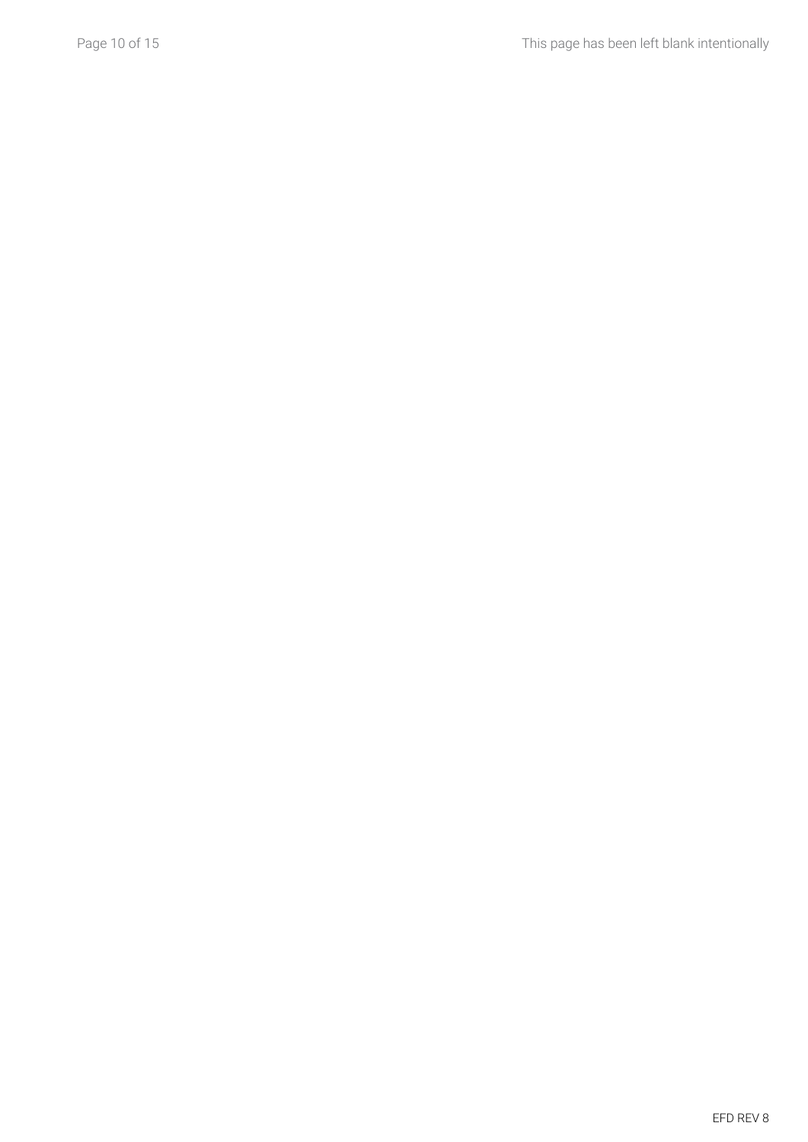Page 10 of 15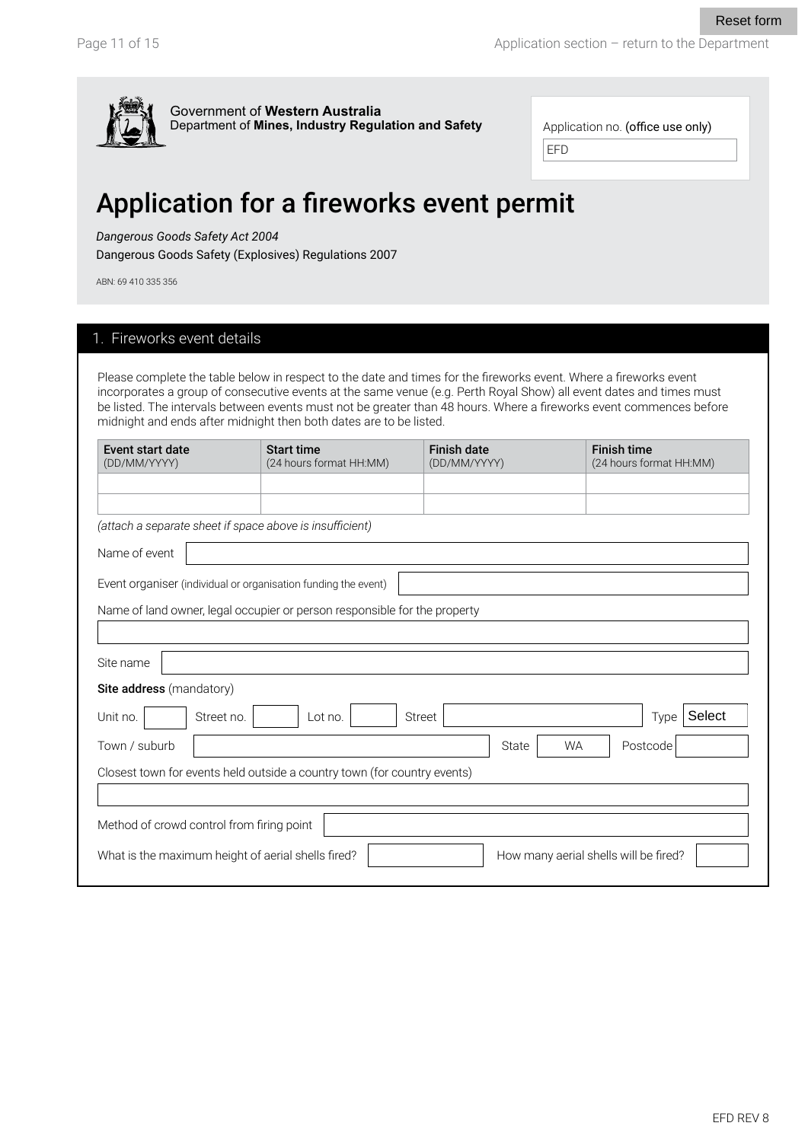Application section – return to the Department



| Application no. (office use only) |  |
|-----------------------------------|--|
| <b>LEFD</b>                       |  |

# Application for a fireworks event permit

#### *Dangerous Goods Safety Act 2004*

Dangerous Goods Safety (Explosives) Regulations 2007

ABN: 69 410 335 356

#### 1. Fireworks event details

Please complete the table below in respect to the date and times for the fireworks event. Where a fireworks event incorporates a group of consecutive events at the same venue (e.g. Perth Royal Show) all event dates and times must be listed. The intervals between events must not be greater than 48 hours. Where a fireworks event commences before midnight and ends after midnight then both dates are to be listed.

| Event start date<br>(DD/MM/YYYY)                                          | <b>Start time</b><br>(24 hours format HH:MM) | <b>Finish date</b><br>(DD/MM/YYYY) | <b>Finish time</b><br>(24 hours format HH:MM) |
|---------------------------------------------------------------------------|----------------------------------------------|------------------------------------|-----------------------------------------------|
|                                                                           |                                              |                                    |                                               |
| (attach a separate sheet if space above is insufficient)                  |                                              |                                    |                                               |
| Name of event                                                             |                                              |                                    |                                               |
| Event organiser (individual or organisation funding the event)            |                                              |                                    |                                               |
| Name of land owner, legal occupier or person responsible for the property |                                              |                                    |                                               |
|                                                                           |                                              |                                    |                                               |
| Site name                                                                 |                                              |                                    |                                               |
| Site address (mandatory)                                                  |                                              |                                    |                                               |
| Unit no.<br>Street no.                                                    | Lot no.                                      | <b>Street</b>                      | Select<br>Type                                |
| Town / suburb                                                             |                                              | State                              | <b>WA</b><br>Postcode                         |
| Closest town for events held outside a country town (for country events)  |                                              |                                    |                                               |
|                                                                           |                                              |                                    |                                               |
| Method of crowd control from firing point                                 |                                              |                                    |                                               |
| What is the maximum height of aerial shells fired?                        |                                              |                                    | How many aerial shells will be fired?         |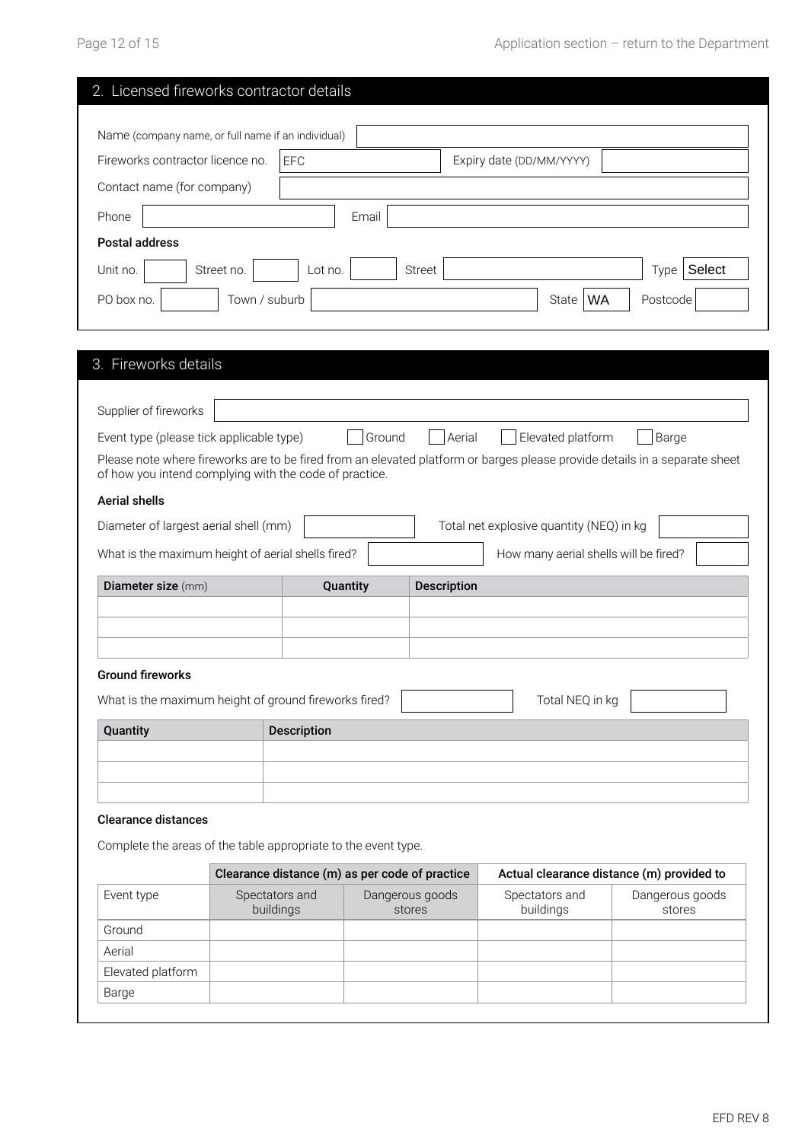| Name (company name, or full name if an individual) |                                            |
|----------------------------------------------------|--------------------------------------------|
| Fireworks contractor licence no.                   | Expiry date (DD/MM/YYYY)<br><b>EFC</b>     |
| Contact name (for company)                         |                                            |
| Phone                                              | Email                                      |
| Postal address                                     |                                            |
| Unit no.<br>Street no.                             | Select<br>Type<br><b>Street</b><br>Lot no. |
| Town / suburb<br>PO box no.                        | <b>WA</b><br>Postcode<br>State             |

### 3. Fireworks details

| Supplier of fireworks                                                                                                                                                                                 |                             |                    |          |                                                |                                                                                                                            |                                           |
|-------------------------------------------------------------------------------------------------------------------------------------------------------------------------------------------------------|-----------------------------|--------------------|----------|------------------------------------------------|----------------------------------------------------------------------------------------------------------------------------|-------------------------------------------|
| Event type (please tick applicable type)                                                                                                                                                              |                             |                    | Ground   | Aerial                                         | Elevated platform                                                                                                          | Barge                                     |
| of how you intend complying with the code of practice.                                                                                                                                                |                             |                    |          |                                                | Please note where fireworks are to be fired from an elevated platform or barges please provide details in a separate sheet |                                           |
| <b>Aerial shells</b>                                                                                                                                                                                  |                             |                    |          |                                                |                                                                                                                            |                                           |
| Diameter of largest aerial shell (mm)                                                                                                                                                                 |                             |                    |          |                                                | Total net explosive quantity (NEQ) in kg                                                                                   |                                           |
| What is the maximum height of aerial shells fired?                                                                                                                                                    |                             |                    |          |                                                | How many aerial shells will be fired?                                                                                      |                                           |
| Diameter size (mm)                                                                                                                                                                                    |                             |                    | Quantity | <b>Description</b>                             |                                                                                                                            |                                           |
|                                                                                                                                                                                                       |                             |                    |          |                                                |                                                                                                                            |                                           |
|                                                                                                                                                                                                       |                             |                    |          |                                                |                                                                                                                            |                                           |
|                                                                                                                                                                                                       |                             |                    |          |                                                |                                                                                                                            |                                           |
|                                                                                                                                                                                                       |                             |                    |          |                                                |                                                                                                                            |                                           |
|                                                                                                                                                                                                       |                             |                    |          |                                                |                                                                                                                            |                                           |
|                                                                                                                                                                                                       |                             |                    |          |                                                |                                                                                                                            |                                           |
|                                                                                                                                                                                                       |                             |                    |          |                                                | Total NEQ in kg                                                                                                            |                                           |
| Quantity                                                                                                                                                                                              |                             | <b>Description</b> |          |                                                |                                                                                                                            |                                           |
|                                                                                                                                                                                                       |                             |                    |          |                                                |                                                                                                                            |                                           |
|                                                                                                                                                                                                       |                             |                    |          |                                                |                                                                                                                            |                                           |
|                                                                                                                                                                                                       |                             |                    |          |                                                |                                                                                                                            |                                           |
|                                                                                                                                                                                                       |                             |                    |          |                                                |                                                                                                                            |                                           |
|                                                                                                                                                                                                       |                             |                    |          |                                                |                                                                                                                            |                                           |
|                                                                                                                                                                                                       |                             |                    |          |                                                |                                                                                                                            |                                           |
|                                                                                                                                                                                                       |                             |                    |          | Clearance distance (m) as per code of practice |                                                                                                                            | Actual clearance distance (m) provided to |
| Event type                                                                                                                                                                                            | Spectators and<br>buildings |                    |          | Dangerous goods<br>stores                      | Spectators and<br>buildings                                                                                                | Dangerous goods<br>stores                 |
| Ground                                                                                                                                                                                                |                             |                    |          |                                                |                                                                                                                            |                                           |
| Aerial                                                                                                                                                                                                |                             |                    |          |                                                |                                                                                                                            |                                           |
| <b>Ground fireworks</b><br>What is the maximum height of ground fireworks fired?<br><b>Clearance distances</b><br>Complete the areas of the table appropriate to the event type.<br>Elevated platform |                             |                    |          |                                                |                                                                                                                            |                                           |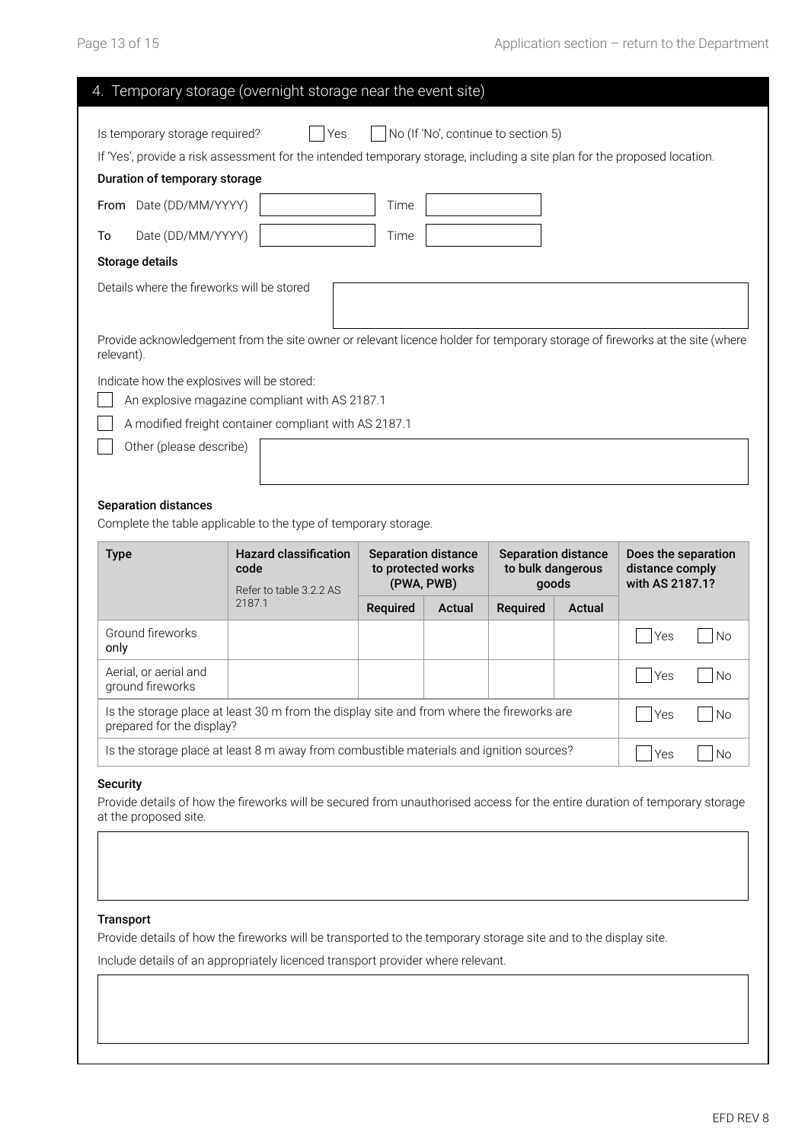| Duration of temporary storage                                                                                                              |        |                              |                                                                |        |          |                                                          |                                                           |                       |
|--------------------------------------------------------------------------------------------------------------------------------------------|--------|------------------------------|----------------------------------------------------------------|--------|----------|----------------------------------------------------------|-----------------------------------------------------------|-----------------------|
| From Date (DD/MM/YYYY)                                                                                                                     |        |                              | Time                                                           |        |          |                                                          |                                                           |                       |
| Date (DD/MM/YYYY)<br>To                                                                                                                    |        |                              | Time                                                           |        |          |                                                          |                                                           |                       |
| Storage details                                                                                                                            |        |                              |                                                                |        |          |                                                          |                                                           |                       |
| Details where the fireworks will be stored                                                                                                 |        |                              |                                                                |        |          |                                                          |                                                           |                       |
| Provide acknowledgement from the site owner or relevant licence holder for temporary storage of fireworks at the site (where<br>relevant). |        |                              |                                                                |        |          |                                                          |                                                           |                       |
| Indicate how the explosives will be stored:                                                                                                |        |                              |                                                                |        |          |                                                          |                                                           |                       |
| An explosive magazine compliant with AS 2187.1<br>A modified freight container compliant with AS 2187.1<br>Other (please describe)         |        |                              |                                                                |        |          |                                                          |                                                           |                       |
| <b>Separation distances</b><br>Complete the table applicable to the type of temporary storage.<br><b>Type</b>                              | code   | <b>Hazard classification</b> | <b>Separation distance</b><br>to protected works<br>(PWA, PWB) |        |          | <b>Separation distance</b><br>to bulk dangerous<br>goods | Does the separation<br>distance comply<br>with AS 2187.1? |                       |
|                                                                                                                                            | 2187.1 | Refer to table 3.2.2 AS      | Required                                                       | Actual | Required | Actual                                                   |                                                           |                       |
|                                                                                                                                            |        |                              |                                                                |        |          |                                                          | Yes                                                       | No                    |
| Ground fireworks<br>only<br>Aerial, or aerial and<br>ground fireworks                                                                      |        |                              |                                                                |        |          |                                                          | Yes                                                       | No                    |
| Is the storage place at least 30 m from the display site and from where the fireworks are<br>prepared for the display?                     |        |                              |                                                                |        |          |                                                          | Yes                                                       | $\overline{\big }$ No |

#### Transport

Provide details of how the fireworks will be transported to the temporary storage site and to the display site.

Include details of an appropriately licenced transport provider where relevant.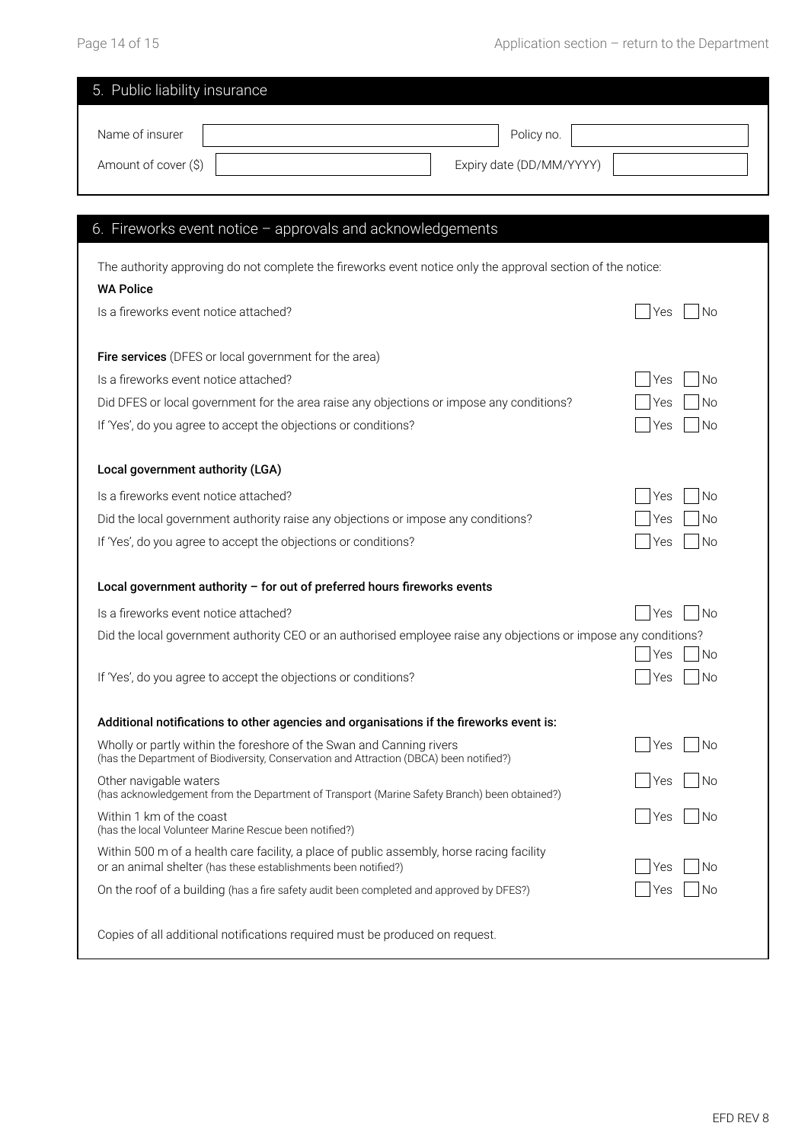| 5. Public liability insurance                                                                                                                                   |                  |
|-----------------------------------------------------------------------------------------------------------------------------------------------------------------|------------------|
|                                                                                                                                                                 |                  |
| Name of insurer<br>Policy no.                                                                                                                                   |                  |
| Amount of cover (\$)<br>Expiry date (DD/MM/YYYY)                                                                                                                |                  |
|                                                                                                                                                                 |                  |
| 6. Fireworks event notice - approvals and acknowledgements                                                                                                      |                  |
|                                                                                                                                                                 |                  |
| The authority approving do not complete the fireworks event notice only the approval section of the notice:<br><b>WA Police</b>                                 |                  |
| Is a fireworks event notice attached?                                                                                                                           | <b>No</b><br>Yes |
| Fire services (DFES or local government for the area)                                                                                                           |                  |
| Is a fireworks event notice attached?                                                                                                                           | <b>No</b><br>Yes |
| Did DFES or local government for the area raise any objections or impose any conditions?                                                                        | <b>No</b><br>Yes |
| If 'Yes', do you agree to accept the objections or conditions?                                                                                                  | <b>No</b><br>Yes |
| Local government authority (LGA)                                                                                                                                |                  |
| Is a fireworks event notice attached?                                                                                                                           | <b>No</b><br>Yes |
| Did the local government authority raise any objections or impose any conditions?                                                                               | <b>No</b><br>Yes |
| If 'Yes', do you agree to accept the objections or conditions?                                                                                                  | <b>No</b><br>Yes |
| Local government authority - for out of preferred hours fireworks events                                                                                        |                  |
| Is a fireworks event notice attached?                                                                                                                           | <b>No</b><br>Yes |
| Did the local government authority CEO or an authorised employee raise any objections or impose any conditions?                                                 |                  |
|                                                                                                                                                                 | No<br>Yes        |
| If 'Yes', do you agree to accept the objections or conditions?                                                                                                  | No<br>Yes        |
| Additional notifications to other agencies and organisations if the fireworks event is:                                                                         |                  |
| Wholly or partly within the foreshore of the Swan and Canning rivers<br>(has the Department of Biodiversity, Conservation and Attraction (DBCA) been notified?) | No<br>Yes        |
| Other navigable waters<br>(has acknowledgement from the Department of Transport (Marine Safety Branch) been obtained?)                                          | No.<br>Yes       |
| Within 1 km of the coast<br>(has the local Volunteer Marine Rescue been notified?)                                                                              | No<br>Yes        |
| Within 500 m of a health care facility, a place of public assembly, horse racing facility<br>or an animal shelter (has these establishments been notified?)     | <b>No</b><br>Yes |
| On the roof of a building (has a fire safety audit been completed and approved by DFES?)                                                                        | <b>No</b><br>Yes |
| Copies of all additional notifications required must be produced on request.                                                                                    |                  |